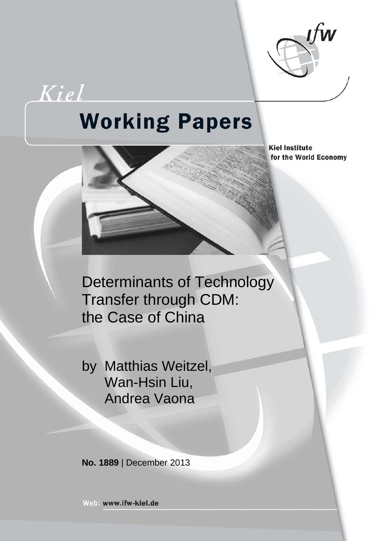

Kiel

# **Working Papers**

**Kiel Institute** for the World Economy

Determinants of Technology Transfer through CDM: the Case of China

by Matthias Weitzel, Wan-Hsin Liu, Andrea Vaona

**No. 1889** | December 2013

Web: www.ifw-kiel.de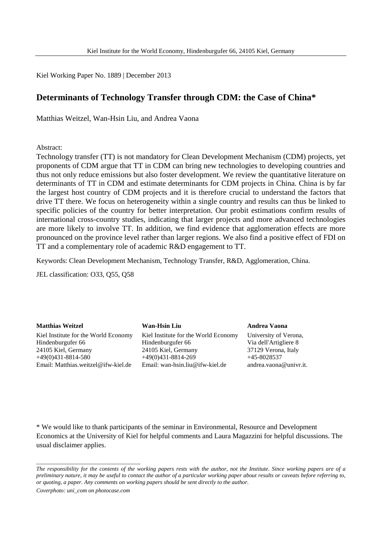Kiel Working Paper No. 1889 | December 2013

# **Determinants of Technology Transfer through CDM: the Case of China\***

Matthias Weitzel, Wan-Hsin Liu, and Andrea Vaona

Abstract:

Technology transfer (TT) is not mandatory for Clean Development Mechanism (CDM) projects, yet proponents of CDM argue that TT in CDM can bring new technologies to developing countries and thus not only reduce emissions but also foster development. We review the quantitative literature on determinants of TT in CDM and estimate determinants for CDM projects in China. China is by far the largest host country of CDM projects and it is therefore crucial to understand the factors that drive TT there. We focus on heterogeneity within a single country and results can thus be linked to specific policies of the country for better interpretation. Our probit estimations confirm results of international cross-country studies, indicating that larger projects and more advanced technologies are more likely to involve TT. In addition, we find evidence that agglomeration effects are more pronounced on the province level rather than larger regions. We also find a positive effect of FDI on TT and a complementary role of academic R&D engagement to TT.

Keywords: Clean Development Mechanism, Technology Transfer, R&D, Agglomeration, China.

JEL classification: O33, Q55, Q58

**Matthias Weitzel** Kiel Institute for the World Economy Hindenburgufer 66 24105 Kiel, Germany +49(0)431-8814-580 Email: Matthias.weitzel@ifw-kiel.de

**Wan-Hsin Liu**

Kiel Institute for the World Economy Hindenburgufer 66 24105 Kiel, Germany +49(0)431-8814-269 Email: wan-hsin.liu@ifw-kiel.de

**Andrea Vaona** University of Verona, Via dell'Artigliere 8 37129 Verona, Italy +45-8028537 andrea.vaona@univr.it.

\* We would like to thank participants of the seminar in Environmental, Resource and Development Economics at the University of Kiel for helpful comments and Laura Magazzini for helpful discussions. The usual disclaimer applies.

\_\_\_\_\_\_\_\_\_\_\_\_\_\_\_\_\_\_\_\_\_\_\_\_\_\_\_\_\_\_\_\_\_\_\_\_

*The responsibility for the contents of the working papers rests with the author, not the Institute. Since working papers are of a preliminary nature, it may be useful to contact the author of a particular working paper about results or caveats before referring to, or quoting, a paper. Any comments on working papers should be sent directly to the author.*

*Coverphoto: uni\_com on photocase.com*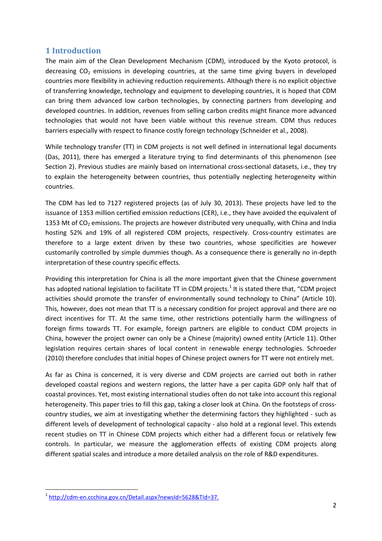#### **1 Introduction**

The main aim of the Clean Development Mechanism (CDM), introduced by the Kyoto protocol, is decreasing  $CO<sub>2</sub>$  emissions in developing countries, at the same time giving buyers in developed countries more flexibility in achieving reduction requirements. Although there is no explicit objective of transferring knowledge, technology and equipment to developing countries, it is hoped that CDM can bring them advanced low carbon technologies, by connecting partners from developing and developed countries. In addition, revenues from selling carbon credits might finance more advanced technologies that would not have been viable without this revenue stream. CDM thus reduces barriers especially with respect to finance costly foreign technology (Schneider et al., 2008).

While technology transfer (TT) in CDM projects is not well defined in international legal documents (Das, 2011), there has emerged a literature trying to find determinants of this phenomenon (see Section 2). Previous studies are mainly based on international cross-sectional datasets, i.e., they try to explain the heterogeneity between countries, thus potentially neglecting heterogeneity within countries.

The CDM has led to 7127 registered projects (as of July 30, 2013). These projects have led to the issuance of 1353 million certified emission reductions (CER), i.e., they have avoided the equivalent of 1353 Mt of  $CO<sub>2</sub>$  emissions. The projects are however distributed very unequally, with China and India hosting 52% and 19% of all registered CDM projects, respectively. Cross-country estimates are therefore to a large extent driven by these two countries, whose specificities are however customarily controlled by simple dummies though. As a consequence there is generally no in-depth interpretation of these country specific effects.

Providing this interpretation for China is all the more important given that the Chinese government has adopted national legislation to facilitate TT in CDM projects.<sup>[1](#page-2-0)</sup> It is stated there that, "CDM project activities should promote the transfer of environmentally sound technology to China" (Article 10). This, however, does not mean that TT is a necessary condition for project approval and there are no direct incentives for TT. At the same time, other restrictions potentially harm the willingness of foreign firms towards TT. For example, foreign partners are eligible to conduct CDM projects in China, however the project owner can only be a Chinese (majority) owned entity (Article 11). Other legislation requires certain shares of local content in renewable energy technologies. Schroeder (2010) therefore concludes that initial hopes of Chinese project owners for TT were not entirely met.

As far as China is concerned, it is very diverse and CDM projects are carried out both in rather developed coastal regions and western regions, the latter have a per capita GDP only half that of coastal provinces. Yet, most existing international studies often do not take into account this regional heterogeneity. This paper tries to fill this gap, taking a closer look at China. On the footsteps of crosscountry studies, we aim at investigating whether the determining factors they highlighted - such as different levels of development of technological capacity - also hold at a regional level. This extends recent studies on TT in Chinese CDM projects which either had a different focus or relatively few controls. In particular, we measure the agglomeration effects of existing CDM projects along different spatial scales and introduce a more detailed analysis on the role of R&D expenditures.

<span id="page-2-0"></span> <sup>1</sup> [http://cdm-en.ccchina.gov.cn/Detail.aspx?newsId=5628&TId=37.](http://cdm-en.ccchina.gov.cn/Detail.aspx?newsId=5628&TId=37)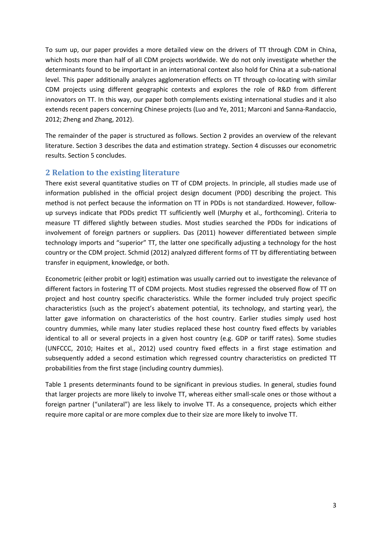To sum up, our paper provides a more detailed view on the drivers of TT through CDM in China, which hosts more than half of all CDM projects worldwide. We do not only investigate whether the determinants found to be important in an international context also hold for China at a sub-national level. This paper additionally analyzes agglomeration effects on TT through co-locating with similar CDM projects using different geographic contexts and explores the role of R&D from different innovators on TT. In this way, our paper both complements existing international studies and it also extends recent papers concerning Chinese projects (Luo and Ye, 2011; Marconi and Sanna-Randaccio, 2012; Zheng and Zhang, 2012).

The remainder of the paper is structured as follows. Section 2 provides an overview of the relevant literature. Section 3 describes the data and estimation strategy. Section 4 discusses our econometric results. Section 5 concludes.

## **2 Relation to the existing literature**

There exist several quantitative studies on TT of CDM projects. In principle, all studies made use of information published in the official project design document (PDD) describing the project. This method is not perfect because the information on TT in PDDs is not standardized. However, followup surveys indicate that PDDs predict TT sufficiently well (Murphy et al., forthcoming). Criteria to measure TT differed slightly between studies. Most studies searched the PDDs for indications of involvement of foreign partners or suppliers. Das (2011) however differentiated between simple technology imports and "superior" TT, the latter one specifically adjusting a technology for the host country or the CDM project. Schmid (2012) analyzed different forms of TT by differentiating between transfer in equipment, knowledge, or both.

Econometric (either probit or logit) estimation was usually carried out to investigate the relevance of different factors in fostering TT of CDM projects. Most studies regressed the observed flow of TT on project and host country specific characteristics. While the former included truly project specific characteristics (such as the project's abatement potential, its technology, and starting year), the latter gave information on characteristics of the host country. Earlier studies simply used host country dummies, while many later studies replaced these host country fixed effects by variables identical to all or several projects in a given host country (e.g. GDP or tariff rates). Some studies (UNFCCC, 2010; Haites et al., 2012) used country fixed effects in a first stage estimation and subsequently added a second estimation which regressed country characteristics on predicted TT probabilities from the first stage (including country dummies).

Table 1 presents determinants found to be significant in previous studies. In general, studies found that larger projects are more likely to involve TT, whereas either small-scale ones or those without a foreign partner ("unilateral") are less likely to involve TT. As a consequence, projects which either require more capital or are more complex due to their size are more likely to involve TT.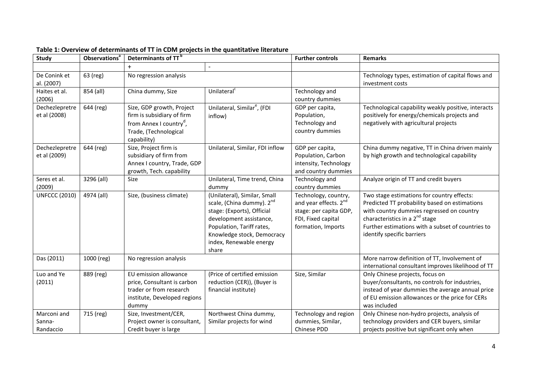| <b>Study</b>         | Observations <sup>a</sup> | Determinants of TT <sup>b</sup>     |                                                       | <b>Further controls</b> | <b>Remarks</b>                                      |
|----------------------|---------------------------|-------------------------------------|-------------------------------------------------------|-------------------------|-----------------------------------------------------|
|                      |                           |                                     | $\overline{\phantom{a}}$                              |                         |                                                     |
| De Conink et         | 63 (reg)                  | No regression analysis              |                                                       |                         | Technology types, estimation of capital flows and   |
| al. (2007)           |                           |                                     |                                                       |                         | investment costs                                    |
| Haites et al.        | 854 (all)                 | China dummy, Size                   | Unilateral <sup>c</sup>                               | Technology and          |                                                     |
| (2006)               |                           |                                     |                                                       | country dummies         |                                                     |
| Dechezlepretre       | 644 (reg)                 | Size, GDP growth, Project           | Unilateral, Similar <sup>e</sup> , (FDI               | GDP per capita,         | Technological capability weakly positive, interacts |
| et al (2008)         |                           | firm is subsidiary of firm          | inflow)                                               | Population,             | positively for energy/chemicals projects and        |
|                      |                           | from Annex I country <sup>d</sup> , |                                                       | Technology and          | negatively with agricultural projects               |
|                      |                           | Trade, (Technological               |                                                       | country dummies         |                                                     |
|                      |                           | capability)                         |                                                       |                         |                                                     |
| Dechezlepretre       | 644 (reg)                 | Size, Project firm is               | Unilateral, Similar, FDI inflow                       | GDP per capita,         | China dummy negative, TT in China driven mainly     |
| et al (2009)         |                           | subsidiary of firm from             |                                                       | Population, Carbon      | by high growth and technological capability         |
|                      |                           | Annex I country, Trade, GDP         |                                                       | intensity, Technology   |                                                     |
|                      |                           | growth, Tech. capability            |                                                       | and country dummies     |                                                     |
| Seres et al.         | 3296 (all)                | Size                                | Unilateral, Time trend, China                         | Technology and          | Analyze origin of TT and credit buyers              |
| (2009)               |                           |                                     | dummy                                                 | country dummies         |                                                     |
| <b>UNFCCC (2010)</b> | 4974 (all)                | Size, (business climate)            | (Unilateral), Similar, Small                          | Technology, country,    | Two stage estimations for country effects:          |
|                      |                           |                                     | scale, (China dummy). 2 <sup>nd</sup>                 | and year effects. 2nd   | Predicted TT probability based on estimations       |
|                      |                           |                                     | stage: (Exports), Official                            | stage: per capita GDP,  | with country dummies regressed on country           |
|                      |                           |                                     | development assistance,                               | FDI, Fixed capital      | characteristics in a 2 <sup>nd</sup> stage          |
|                      |                           |                                     | Population, Tariff rates,                             | formation, Imports      | Further estimations with a subset of countries to   |
|                      |                           |                                     | Knowledge stock, Democracy<br>index, Renewable energy |                         | identify specific barriers                          |
|                      |                           |                                     | share                                                 |                         |                                                     |
| Das (2011)           | 1000 (reg)                | No regression analysis              |                                                       |                         | More narrow definition of TT, Involvement of        |
|                      |                           |                                     |                                                       |                         | international consultant improves likelihood of TT  |
| Luo and Ye           | 889 (reg)                 | EU emission allowance               | (Price of certified emission                          | Size, Similar           | Only Chinese projects, focus on                     |
| (2011)               |                           | price, Consultant is carbon         | reduction (CER)), (Buyer is                           |                         | buyer/consultants, no controls for industries,      |
|                      |                           | trader or from research             | financial institute)                                  |                         | instead of year dummies the average annual price    |
|                      |                           | institute, Developed regions        |                                                       |                         | of EU emission allowances or the price for CERs     |
|                      |                           | dummy                               |                                                       |                         | was included                                        |
| Marconi and          | 715 (reg)                 | Size, Investment/CER,               | Northwest China dummy,                                | Technology and region   | Only Chinese non-hydro projects, analysis of        |
| Sanna-               |                           | Project owner is consultant,        | Similar projects for wind                             | dummies, Similar,       | technology providers and CER buyers, similar        |
| Randaccio            |                           | Credit buyer is large               |                                                       | Chinese PDD             | projects positive but significant only when         |

#### **Table 1: Overview of determinants of TT in CDM projects in the quantitative literature**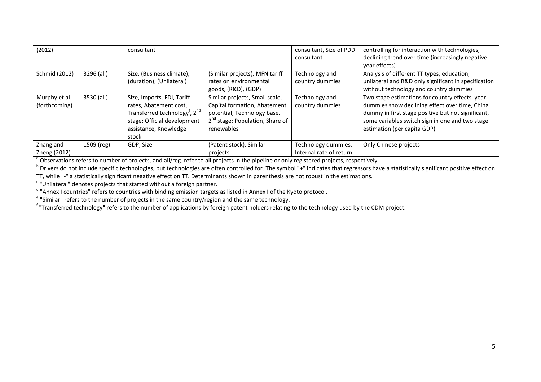| (2012)                         |            | consultant                                                                                                                                                                     |                                                                                                                                                            | consultant, Size of PDD<br>consultant          | controlling for interaction with technologies,<br>declining trend over time (increasingly negative<br>year effects)                                                                                                                       |
|--------------------------------|------------|--------------------------------------------------------------------------------------------------------------------------------------------------------------------------------|------------------------------------------------------------------------------------------------------------------------------------------------------------|------------------------------------------------|-------------------------------------------------------------------------------------------------------------------------------------------------------------------------------------------------------------------------------------------|
| Schmid (2012)                  | 3296 (all) | Size, (Business climate),<br>(duration), (Unilateral)                                                                                                                          | (Similar projects), MFN tariff<br>rates on environmental<br>goods, (R&D), (GDP)                                                                            | Technology and<br>country dummies              | Analysis of different TT types; education,<br>unilateral and R&D only significant in specification<br>without technology and country dummies                                                                                              |
| Murphy et al.<br>(forthcoming) | 3530 (all) | Size, Imports, FDI, Tariff<br>rates, Abatement cost,<br>Transferred technology <sup>f</sup> , 2 <sup>nd</sup><br>stage: Official development<br>assistance, Knowledge<br>stock | Similar projects, Small scale,<br>Capital formation, Abatement<br>potential, Technology base.<br>2 <sup>nd</sup> stage: Population, Share of<br>renewables | Technology and<br>country dummies              | Two stage estimations for country effects, year<br>dummies show declining effect over time, China<br>dummy in first stage positive but not significant,<br>some variables switch sign in one and two stage<br>estimation (per capita GDP) |
| Zhang and<br>Zheng (2012)      | 1509 (reg) | GDP, Size                                                                                                                                                                      | (Patent stock), Similar<br>projects                                                                                                                        | Technology dummies,<br>Internal rate of return | Only Chinese projects                                                                                                                                                                                                                     |

<sup>b</sup> Drivers do not include specific technologies, but technologies are often controlled for. The symbol "+" indicates that regressors have a statistically significant positive effect on<br>TT, while "-" a statistically signif

"Unilateral" denotes projects that started without a foreign partner.<br>"Annex I countries" refers to countries with binding emission targets as listed in Annex I of the Kyoto protocol.

 $e^{\epsilon}$  "Similar" refers to the number of projects in the same country/region and the same technology.

"Transferred technology" refers to the number of applications by foreign patent holders relating to the technology used by the CDM project.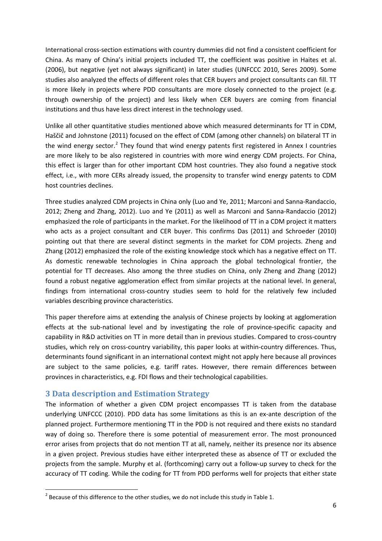International cross-section estimations with country dummies did not find a consistent coefficient for China. As many of China's initial projects included TT, the coefficient was positive in Haites et al. (2006), but negative (yet not always significant) in later studies (UNFCCC 2010, Seres 2009). Some studies also analyzed the effects of different roles that CER buyers and project consultants can fill. TT is more likely in projects where PDD consultants are more closely connected to the project (e.g. through ownership of the project) and less likely when CER buyers are coming from financial institutions and thus have less direct interest in the technology used.

Unlike all other quantitative studies mentioned above which measured determinants for TT in CDM, Haščič and Johnstone (2011) focused on the effect of CDM (among other channels) on bilateral TT in the wind energy sector.<sup>[2](#page-6-0)</sup> They found that wind energy patents first registered in Annex I countries are more likely to be also registered in countries with more wind energy CDM projects. For China, this effect is larger than for other important CDM host countries. They also found a negative stock effect, i.e., with more CERs already issued, the propensity to transfer wind energy patents to CDM host countries declines.

Three studies analyzed CDM projects in China only (Luo and Ye, 2011; Marconi and Sanna-Randaccio, 2012; Zheng and Zhang, 2012). Luo and Ye (2011) as well as Marconi and Sanna-Randaccio (2012) emphasized the role of participants in the market. For the likelihood of TT in a CDM project it matters who acts as a project consultant and CER buyer. This confirms Das (2011) and Schroeder (2010) pointing out that there are several distinct segments in the market for CDM projects. Zheng and Zhang (2012) emphasized the role of the existing knowledge stock which has a negative effect on TT. As domestic renewable technologies in China approach the global technological frontier, the potential for TT decreases. Also among the three studies on China, only Zheng and Zhang (2012) found a robust negative agglomeration effect from similar projects at the national level. In general, findings from international cross-country studies seem to hold for the relatively few included variables describing province characteristics.

This paper therefore aims at extending the analysis of Chinese projects by looking at agglomeration effects at the sub-national level and by investigating the role of province-specific capacity and capability in R&D activities on TT in more detail than in previous studies. Compared to cross-country studies, which rely on cross-country variability, this paper looks at within-country differences. Thus, determinants found significant in an international context might not apply here because all provinces are subject to the same policies, e.g. tariff rates. However, there remain differences between provinces in characteristics, e.g. FDI flows and their technological capabilities.

#### **3 Data description and Estimation Strategy**

The information of whether a given CDM project encompasses TT is taken from the database underlying UNFCCC (2010). PDD data has some limitations as this is an ex-ante description of the planned project. Furthermore mentioning TT in the PDD is not required and there exists no standard way of doing so. Therefore there is some potential of measurement error. The most pronounced error arises from projects that do not mention TT at all, namely, neither its presence nor its absence in a given project. Previous studies have either interpreted these as absence of TT or excluded the projects from the sample. Murphy et al. (forthcoming) carry out a follow-up survey to check for the accuracy of TT coding. While the coding for TT from PDD performs well for projects that either state

<span id="page-6-0"></span> $2$  Because of this difference to the other studies, we do not include this study in Table 1.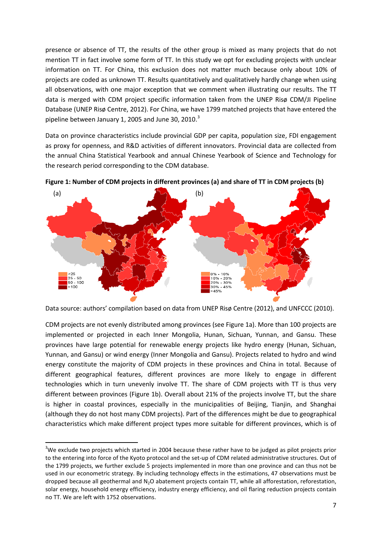presence or absence of TT, the results of the other group is mixed as many projects that do not mention TT in fact involve some form of TT. In this study we opt for excluding projects with unclear information on TT. For China, this exclusion does not matter much because only about 10% of projects are coded as unknown TT. Results quantitatively and qualitatively hardly change when using all observations, with one major exception that we comment when illustrating our results. The TT data is merged with CDM project specific information taken from the UNEP Risø CDM/JI Pipeline Database (UNEP Risø Centre, 2012). For China, we have 1799 matched projects that have entered the pipeline between January 1, 2005 and June [3](#page-7-0)0, 2010. $^3$ 

Data on province characteristics include provincial GDP per capita, population size, FDI engagement as proxy for openness, and R&D activities of different innovators. Provincial data are collected from the annual China Statistical Yearbook and annual Chinese Yearbook of Science and Technology for the research period corresponding to the CDM database.





Data source: authors' compilation based on data from UNEP Risø Centre (2012), and UNFCCC (2010).

CDM projects are not evenly distributed among provinces (see Figure 1a). More than 100 projects are implemented or projected in each Inner Mongolia, Hunan, Sichuan, Yunnan, and Gansu. These provinces have large potential for renewable energy projects like hydro energy (Hunan, Sichuan, Yunnan, and Gansu) or wind energy (Inner Mongolia and Gansu). Projects related to hydro and wind energy constitute the majority of CDM projects in these provinces and China in total. Because of different geographical features, different provinces are more likely to engage in different technologies which in turn unevenly involve TT. The share of CDM projects with TT is thus very different between provinces (Figure 1b). Overall about 21% of the projects involve TT, but the share is higher in coastal provinces, especially in the municipalities of Beijing, Tianjin, and Shanghai (although they do not host many CDM projects). Part of the differences might be due to geographical characteristics which make different project types more suitable for different provinces, which is of

<span id="page-7-0"></span> <sup>3</sup>  $3$ We exclude two projects which started in 2004 because these rather have to be judged as pilot projects prior to the entering into force of the Kyoto protocol and the set-up of CDM related administrative structures. Out of the 1799 projects, we further exclude 5 projects implemented in more than one province and can thus not be used in our econometric strategy. By including technology effects in the estimations, 47 observations must be dropped because all geothermal and N<sub>2</sub>O abatement projects contain TT, while all afforestation, reforestation, solar energy, household energy efficiency, industry energy efficiency, and oil flaring reduction projects contain no TT. We are left with 1752 observations.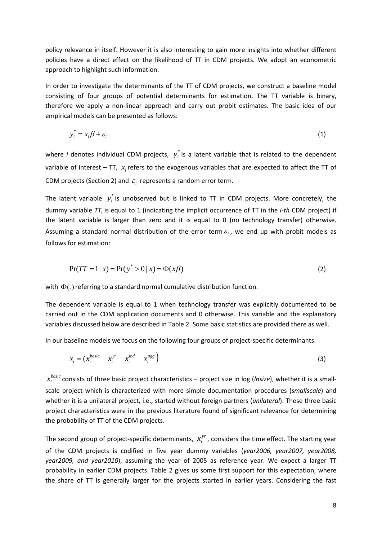policy relevance in itself. However it is also interesting to gain more insights into whether different policies have a direct effect on the likelihood of TT in CDM projects. We adopt an econometric approach to highlight such information.

In order to investigate the determinants of the TT of CDM projects, we construct a baseline model consisting of four groups of potential determinants for estimation. The TT variable is binary, therefore we apply a non-linear approach and carry out probit estimates. The basic idea of our empirical models can be presented as follows:

$$
y_i^* = x_i \beta + \varepsilon_i \tag{1}
$$

where *i* denotes individual CDM projects,  $y_i^*$  is a latent variable that is related to the dependent variable of interest – TT,  $x_i$  refers to the exogenous variables that are expected to affect the TT of CDM projects (Section 2) and  $\varepsilon$ , represents a random error term.

The latent variable  $y_i^*$  is unobserved but is linked to TT in CDM projects. More concretely, the dummy variable *TT<sub>i</sub>* is equal to 1 (indicating the implicit occurrence of TT in the *i-th* CDM project) if the latent variable is larger than zero and it is equal to 0 (no technology transfer) otherwise. Assuming a standard normal distribution of the error term  $\varepsilon$ , we end up with probit models as follows for estimation:

$$
Pr(TT = 1 | x) = Pr(y^* > 0 | x) = \Phi(x\beta)
$$
\n(2)

with  $\Phi(.)$  referring to a standard normal cumulative distribution function.

The dependent variable is equal to 1 when technology transfer was explicitly documented to be carried out in the CDM application documents and 0 otherwise. This variable and the explanatory variables discussed below are described in Table 2. Some basic statistics are provided there as well.

In our baseline models we focus on the following four groups of project-specific determinants.

$$
x_i = (x_i^{basic} \t x_i^{yr} \t x_i^{ind} \t x_i^{agg})
$$
\n
$$
(3)
$$

 $x_i^{\mathit{basic}}$  consists of three basic project characteristics – project size in log (*lnsize*), whether it is a smallscale project which is characterized with more simple documentation procedures (*smallscale*) and whether it is a unilateral project, i.e., started without foreign partners (*unilateral*). These three basic project characteristics were in the previous literature found of significant relevance for determining the probability of TT of the CDM projects.

The second group of project-specific determinants,  $x_i^{yr}$ , considers the time effect. The starting year of the CDM projects is codified in five year dummy variables (*year2006, year2007, year2008, year2009, and year2010*), assuming the year of 2005 as reference year. We expect a larger TT probability in earlier CDM projects. Table 2 gives us some first support for this expectation, where the share of TT is generally larger for the projects started in earlier years. Considering the fast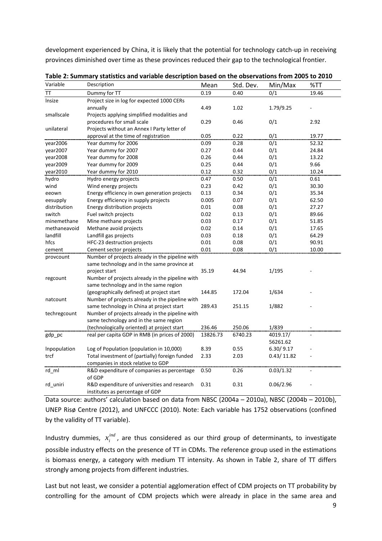development experienced by China, it is likely that the potential for technology catch-up in receiving provinces diminished over time as these provinces reduced their gap to the technological frontier.

| Variable     | Description                                                                     | Mean     | Std. Dev. | Min/Max    | %TT   |
|--------------|---------------------------------------------------------------------------------|----------|-----------|------------|-------|
| ТT           | Dummy for TT                                                                    | 0.19     | 0.40      | 0/1        | 19.46 |
| Insize       | Project size in log for expected 1000 CERs                                      |          |           |            |       |
|              | annually                                                                        | 4.49     | 1.02      | 1.79/9.25  |       |
| smallscale   | Projects applying simplified modalities and                                     |          |           |            |       |
|              | procedures for small scale                                                      | 0.29     | 0.46      | 0/1        | 2.92  |
| unilateral   | Projects without an Annex I Party letter of                                     |          |           |            |       |
|              | approval at the time of registration                                            | 0.05     | 0.22      | 0/1        | 19.77 |
| year2006     | Year dummy for 2006                                                             | 0.09     | 0.28      | 0/1        | 52.32 |
| year2007     | Year dummy for 2007                                                             | 0.27     | 0.44      | 0/1        | 24.84 |
| year2008     | Year dummy for 2008                                                             | 0.26     | 0.44      | 0/1        | 13.22 |
| year2009     | Year dummy for 2009                                                             | 0.25     | 0.44      | 0/1        | 9.66  |
| year2010     | Year dummy for 2010                                                             | 0.12     | 0.32      | 0/1        | 10.24 |
| hydro        | Hydro energy projects                                                           | 0.47     | 0.50      | 0/1        | 0.61  |
| wind         | Wind energy projects                                                            | 0.23     | 0.42      | 0/1        | 30.30 |
| eeown        | Energy efficiency in own generation projects                                    | 0.13     | 0.34      | 0/1        | 35.34 |
| eesupply     | Energy efficiency in supply projects                                            | 0.005    | 0.07      | 0/1        | 62.50 |
| distribution | Energy distribution projects                                                    | 0.01     | 0.08      | 0/1        | 27.27 |
| switch       | Fuel switch projects                                                            | 0.02     | 0.13      | 0/1        | 89.66 |
| minemethane  | Mine methane projects                                                           | 0.03     | 0.17      | 0/1        | 51.85 |
| methaneavoid | Methane avoid projects                                                          | 0.02     | 0.14      | 0/1        | 17.65 |
| landfill     | Landfill gas projects                                                           | 0.03     | 0.18      | 0/1        | 64.29 |
| hfcs         | HFC-23 destruction projects                                                     | 0.01     | 0.08      | 0/1        | 90.91 |
| cement       | Cement sector projects                                                          | 0.01     | 0.08      | 0/1        | 10.00 |
| provcount    | Number of projects already in the pipeline with                                 |          |           |            |       |
|              | same technology and in the same province at                                     |          |           |            |       |
|              | project start                                                                   | 35.19    | 44.94     | 1/195      |       |
| regcount     | Number of projects already in the pipeline with                                 |          |           |            |       |
|              | same technology and in the same region                                          |          |           |            |       |
|              | (geographically defined) at project start                                       | 144.85   | 172.04    | 1/634      |       |
| natcount     | Number of projects already in the pipeline with                                 |          |           |            |       |
|              | same technology in China at project start                                       | 289.43   | 251.15    | 1/882      |       |
| techregcount | Number of projects already in the pipeline with                                 |          |           |            |       |
|              | same technology and in the same region                                          |          |           |            |       |
|              | (technologically oriented) at project start                                     | 236.46   | 250.06    | 1/839      |       |
| gdp_pc       | real per capita GDP in RMB (in prices of 2000)                                  | 13826.73 | 6740.23   | 4019.17/   | ä,    |
|              |                                                                                 |          |           | 56261.62   |       |
| Inpopulation | Log of Population (population in 10,000)                                        | 8.39     | 0.55      | 6.30/9.17  |       |
| trcf         | Total investment of (partially) foreign funded                                  | 2.33     | 2.03      | 0.43/11.82 |       |
|              | companies in stock relative to GDP                                              |          |           |            |       |
| rd ml        | R&D expenditure of companies as percentage                                      | 0.50     | 0.26      | 0.03/1.32  |       |
|              | of GDP                                                                          |          |           |            |       |
| rd_uniri     | R&D expenditure of universities and research<br>institutes as percentage of GDP | 0.31     | 0.31      | 0.06/2.96  |       |

**Table 2: Summary statistics and variable description based on the observations from 2005 to 2010**

Data source: authors' calculation based on data from NBSC (2004a – 2010a), NBSC (2004b – 2010b), UNEP Risø Centre (2012), and UNFCCC (2010). Note: Each variable has 1752 observations (confined by the validity of TT variable).

Industry dummies,  $x_i^{ind}$ , are thus considered as our third group of determinants, to investigate possible industry effects on the presence of TT in CDMs. The reference group used in the estimations is biomass energy, a category with medium TT intensity. As shown in Table 2, share of TT differs strongly among projects from different industries.

Last but not least, we consider a potential agglomeration effect of CDM projects on TT probability by controlling for the amount of CDM projects which were already in place in the same area and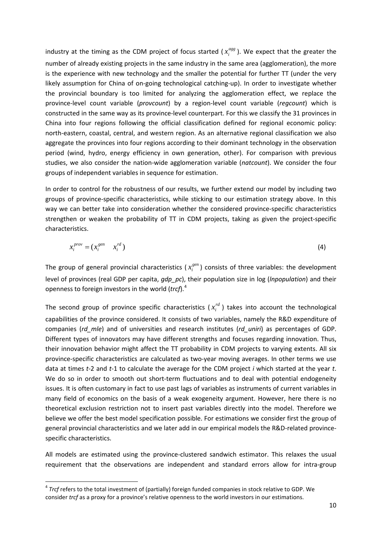industry at the timing as the CDM project of focus started ( $x_i^{ags}$ ). We expect that the greater the number of already existing projects in the same industry in the same area (agglomeration), the more is the experience with new technology and the smaller the potential for further TT (under the very likely assumption for China of on-going technological catching-up). In order to investigate whether the provincial boundary is too limited for analyzing the agglomeration effect, we replace the province-level count variable (*provcount*) by a region-level count variable (*regcount*) which is constructed in the same way as its province-level counterpart. For this we classify the 31 provinces in China into four regions following the official classification defined for regional economic policy: north-eastern, coastal, central, and western region. As an alternative regional classification we also aggregate the provinces into four regions according to their dominant technology in the observation period (wind, hydro, energy efficiency in own generation, other). For comparison with previous studies, we also consider the nation-wide agglomeration variable (*natcount*). We consider the four groups of independent variables in sequence for estimation.

In order to control for the robustness of our results, we further extend our model by including two groups of province-specific characteristics, while sticking to our estimation strategy above. In this way we can better take into consideration whether the considered province-specific characteristics strengthen or weaken the probability of TT in CDM projects, taking as given the project-specific characteristics.

$$
x_i^{prov} = (x_i^{gen} \t x_i^{rd})
$$
 (4)

The group of general provincial characteristics ( $x_i^{gen}$ ) consists of three variables: the development level of provinces (real GDP per capita, *gdp\_pc*), their population size in log (*lnpopulation*) and their openness to foreign investors in the world (*trcf*). [4](#page-10-0)

The second group of province specific characteristics  $(x_i^{rd})$  takes into account the technological capabilities of the province considered. It consists of two variables, namely the R&D expenditure of companies (*rd\_mle*) and of universities and research institutes (*rd\_uniri*) as percentages of GDP. Different types of innovators may have different strengths and focuses regarding innovation. Thus, their innovation behavior might affect the TT probability in CDM projects to varying extents. All six province-specific characteristics are calculated as two-year moving averages. In other terms we use data at times *t*-2 and *t*-1 to calculate the average for the CDM project *i* which started at the year *t*. We do so in order to smooth out short-term fluctuations and to deal with potential endogeneity issues. It is often customary in fact to use past lags of variables as instruments of current variables in many field of economics on the basis of a weak exogeneity argument. However, here there is no theoretical exclusion restriction not to insert past variables directly into the model. Therefore we believe we offer the best model specification possible. For estimations we consider first the group of general provincial characteristics and we later add in our empirical models the R&D-related provincespecific characteristics.

All models are estimated using the province-clustered sandwich estimator. This relaxes the usual requirement that the observations are independent and standard errors allow for intra-group

<span id="page-10-0"></span> <sup>4</sup> *Trcf* refers to the total investment of (partially) foreign funded companies in stock relative to GDP. We consider *trcf* as a proxy for a province's relative openness to the world investors in our estimations.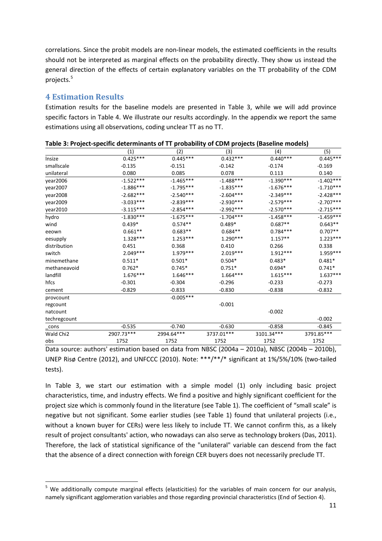correlations. Since the probit models are non-linear models, the estimated coefficients in the results should not be interpreted as marginal effects on the probability directly. They show us instead the general direction of the effects of certain explanatory variables on the TT probability of the CDM projects.<sup>[5](#page-11-0)</sup>

### **4 Estimation Results**

Estimation results for the baseline models are presented in Table 3, while we will add province specific factors in Table 4. We illustrate our results accordingly. In the appendix we report the same estimations using all observations, coding unclear TT as no TT.

|              | (1)         | (2)         | (3)         | (4)         | (5)         |
|--------------|-------------|-------------|-------------|-------------|-------------|
| Insize       | $0.425***$  | $0.445***$  | $0.432***$  | $0.440***$  | $0.445***$  |
| smallscale   | $-0.135$    | $-0.151$    | $-0.142$    | $-0.174$    | $-0.169$    |
| unilateral   | 0.080       | 0.085       | 0.078       | 0.113       | 0.140       |
| year2006     | $-1.522***$ | $-1.465***$ | $-1.488***$ | $-1.390***$ | $-1.402***$ |
| year2007     | $-1.886***$ | $-1.795***$ | $-1.835***$ | $-1.676***$ | $-1.710***$ |
| year2008     | $-2.682***$ | $-2.540***$ | $-2.604***$ | $-2.349***$ | $-2.428***$ |
| year2009     | $-3.033***$ | $-2.839***$ | $-2.930***$ | $-2.579***$ | $-2.707***$ |
| year2010     | $-3.115***$ | $-2.854***$ | $-2.992***$ | $-2.570***$ | $-2.715***$ |
| hydro        | $-1.830***$ | $-1.675***$ | $-1.704***$ | $-1.458***$ | $-1.459***$ |
| wind         | $0.439*$    | $0.574**$   | $0.489*$    | $0.687**$   | $0.643**$   |
| eeown        | $0.661**$   | $0.683**$   | $0.684**$   | $0.784***$  | $0.707**$   |
| eesupply     | $1.328***$  | $1.253***$  | $1.290***$  | $1.157**$   | $1.223***$  |
| distribution | 0.451       | 0.368       | 0.410       | 0.266       | 0.338       |
| switch       | $2.049***$  | 1.979 ***   | $2.019***$  | $1.912***$  | $1.959***$  |
| minemethane  | $0.511*$    | $0.501*$    | $0.504*$    | $0.483*$    | $0.481*$    |
| methaneavoid | $0.762*$    | $0.745*$    | $0.751*$    | $0.694*$    | $0.741*$    |
| landfill     | $1.676***$  | $1.646***$  | $1.664***$  | $1.615***$  | $1.637***$  |
| hfcs         | $-0.301$    | $-0.304$    | $-0.296$    | $-0.233$    | $-0.273$    |
| cement       | $-0.829$    | $-0.833$    | $-0.830$    | $-0.838$    | $-0.832$    |
| provcount    |             | $-0.005***$ |             |             |             |
| regcount     |             |             | $-0.001$    |             |             |
| natcount     |             |             |             | $-0.002$    |             |
| techregcount |             |             |             |             | $-0.002$    |
| cons         | $-0.535$    | $-0.740$    | $-0.630$    | $-0.858$    | $-0.845$    |
| Wald Chi2    | 2907.73***  | 2994.64***  | 3737.01***  | 3101.34***  | 3791.85***  |
| obs          | 1752        | 1752        | 1752        | 1752        | 1752        |

**Table 3: Project-specific determinants of TT probability of CDM projects (Baseline models)**

Data source: authors' estimation based on data from NBSC (2004a – 2010a), NBSC (2004b – 2010b), UNEP Risø Centre (2012), and UNFCCC (2010). Note: \*\*\*/\*\*/\* significant at 1%/5%/10% (two-tailed tests).

In Table 3, we start our estimation with a simple model (1) only including basic project characteristics, time, and industry effects. We find a positive and highly significant coefficient for the project size which is commonly found in the literature (see Table 1). The coefficient of "small scale" is negative but not significant. Some earlier studies (see Table 1) found that unilateral projects (i.e., without a known buyer for CERs) were less likely to include TT. We cannot confirm this, as a likely result of project consultants' action, who nowadays can also serve as technology brokers (Das, 2011). Therefore, the lack of statistical significance of the "unilateral" variable can descend from the fact that the absence of a direct connection with foreign CER buyers does not necessarily preclude TT.

<span id="page-11-0"></span><sup>&</sup>lt;sup>5</sup> We additionally compute marginal effects (elasticities) for the variables of main concern for our analysis, namely significant agglomeration variables and those regarding provincial characteristics (End of Section 4).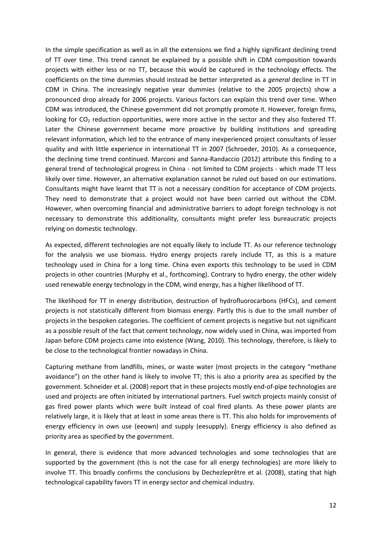In the simple specification as well as in all the extensions we find a highly significant declining trend of TT over time. This trend cannot be explained by a possible shift in CDM composition towards projects with either less or no TT, because this would be captured in the technology effects. The coefficients on the time dummies should instead be better interpreted as a *general* decline in TT in CDM in China. The increasingly negative year dummies (relative to the 2005 projects) show a pronounced drop already for 2006 projects. Various factors can explain this trend over time. When CDM was introduced, the Chinese government did not promptly promote it. However, foreign firms, looking for CO<sub>2</sub> reduction opportunities, were more active in the sector and they also fostered TT. Later the Chinese government became more proactive by building institutions and spreading relevant information, which led to the entrance of many inexperienced project consultants of lesser quality and with little experience in international TT in 2007 (Schroeder, 2010). As a consequence, the declining time trend continued. Marconi and Sanna-Randaccio (2012) attribute this finding to a general trend of technological progress in China - not limited to CDM projects - which made TT less likely over time. However, an alternative explanation cannot be ruled out based on our estimations. Consultants might have learnt that TT is not a necessary condition for acceptance of CDM projects. They need to demonstrate that a project would not have been carried out without the CDM. However, when overcoming financial and administrative barriers to adopt foreign technology is not necessary to demonstrate this additionality, consultants might prefer less bureaucratic projects relying on domestic technology.

As expected, different technologies are not equally likely to include TT. As our reference technology for the analysis we use biomass. Hydro energy projects rarely include TT, as this is a mature technology used in China for a long time. China even exports this technology to be used in CDM projects in other countries (Murphy et al., forthcoming). Contrary to hydro energy, the other widely used renewable energy technology in the CDM, wind energy, has a higher likelihood of TT.

The likelihood for TT in energy distribution, destruction of hydrofluorocarbons (HFCs), and cement projects is not statistically different from biomass energy. Partly this is due to the small number of projects in the bespoken categories. The coefficient of cement projects is negative but not significant as a possible result of the fact that cement technology, now widely used in China, was imported from Japan before CDM projects came into existence (Wang, 2010). This technology, therefore, is likely to be close to the technological frontier nowadays in China.

Capturing methane from landfills, mines, or waste water (most projects in the category "methane avoidance") on the other hand is likely to involve TT; this is also a priority area as specified by the government. Schneider et al. (2008) report that in these projects mostly end-of-pipe technologies are used and projects are often initiated by international partners. Fuel switch projects mainly consist of gas fired power plants which were built instead of coal fired plants. As these power plants are relatively large, it is likely that at least in some areas there is TT. This also holds for improvements of energy efficiency in own use (eeown) and supply (eesupply). Energy efficiency is also defined as priority area as specified by the government.

In general, there is evidence that more advanced technologies and some technologies that are supported by the government (this is not the case for all energy technologies) are more likely to involve TT. This broadly confirms the conclusions by Dechezleprêtre et al. (2008), stating that high technological capability favors TT in energy sector and chemical industry.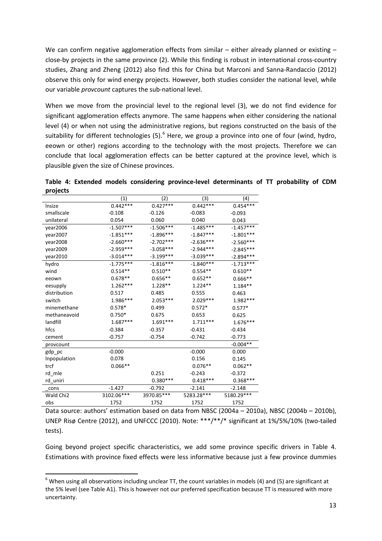We can confirm negative agglomeration effects from similar – either already planned or existing – close-by projects in the same province (2). While this finding is robust in international cross-country studies, Zhang and Zheng (2012) also find this for China but Marconi and Sanna-Randaccio (2012) observe this only for wind energy projects. However, both studies consider the national level, while our variable *provcount* captures the sub-national level.

When we move from the provincial level to the regional level (3), we do not find evidence for significant agglomeration effects anymore. The same happens when either considering the national level (4) or when not using the administrative regions, but regions constructed on the basis of the suitability for different technologies (5).<sup>[6](#page-13-0)</sup> Here, we group a province into one of four (wind, hydro, eeown or other) regions according to the technology with the most projects. Therefore we can conclude that local agglomeration effects can be better captured at the province level, which is plausible given the size of Chinese provinces.

**Table 4: Extended models considering province-level determinants of TT probability of CDM projects**

|                       | (1)         | (2)         | (3)         | (4)         |
|-----------------------|-------------|-------------|-------------|-------------|
| Insize                | $0.442***$  | $0.427***$  | $0.442***$  | $0.454***$  |
| smallscale            | $-0.108$    | $-0.126$    | $-0.083$    | $-0.093$    |
| unilateral            | 0.054       | 0.060       | 0.040       | 0.043       |
| year2006              | $-1.507***$ | $-1.506***$ | $-1.485***$ | $-1.457***$ |
| year2007              | $-1.851***$ | $-1.896***$ | $-1.847***$ | $-1.801***$ |
| year2008              | $-2.660***$ | $-2.702***$ | $-2.636***$ | $-2.560***$ |
| year2009              | $-2.959***$ | $-3.058***$ | $-2.944***$ | $-2.845***$ |
| year2010              | $-3.014***$ | $-3.199***$ | $-3.039***$ | $-2.894***$ |
| hydro                 | $-1.775***$ | $-1.816***$ | $-1.840***$ | $-1.713***$ |
| wind                  | $0.514**$   | $0.510**$   | $0.554**$   | $0.610**$   |
| eeown                 | $0.678**$   | $0.656**$   | $0.652**$   | $0.666**$   |
| eesupply              | $1.262***$  | $1.228**$   | $1.224**$   | $1.184**$   |
| distribution          | 0.517       | 0.485       | 0.555       | 0.463       |
| switch                | 1.986***    | $2.053***$  | $2.029***$  | 1.982 ***   |
| minemethane           | $0.578*$    | 0.499       | $0.572*$    | $0.577*$    |
| methaneavoid          | $0.750*$    | 0.675       | 0.653       | 0.625       |
| landfill              | $1.687***$  | $1.691***$  | $1.711***$  | $1.676***$  |
| hfcs                  | $-0.384$    | $-0.357$    | $-0.431$    | $-0.434$    |
| cement                | $-0.757$    | $-0.754$    | $-0.742$    | $-0.773$    |
| provcount             |             |             |             | $-0.004**$  |
| gdp_pc                | $-0.000$    |             | $-0.000$    | 0.000       |
| Inpopulation          | 0.078       |             | 0.156       | 0.145       |
| trcf                  | $0.066**$   |             | $0.076**$   | $0.062**$   |
| rd mle                |             | 0.251       | $-0.243$    | $-0.372$    |
| rd uniri              |             | $0.380***$  | $0.418***$  | $0.368***$  |
| cons                  | $-1.427$    | $-0.792$    | $-2.141$    | $-2.148$    |
| Wald Chi <sub>2</sub> | 3102.06***  | 3970.85***  | 5283.28***  | 5180.29***  |
| obs                   | 1752        | 1752        | 1752        | 1752        |

Data source: authors' estimation based on data from NBSC (2004a – 2010a), NBSC (2004b – 2010b), UNEP Risø Centre (2012), and UNFCCC (2010). Note: \*\*\*/\*\*/\* significant at 1%/5%/10% (two-tailed tests).

Going beyond project specific characteristics, we add some province specific drivers in Table 4. Estimations with province fixed effects were less informative because just a few province dummies

<span id="page-13-0"></span> $6$  When using all observations including unclear TT, the count variables in models (4) and (5) are significant at the 5% level (see Table A1). This is however not our preferred specification because TT is measured with more uncertainty.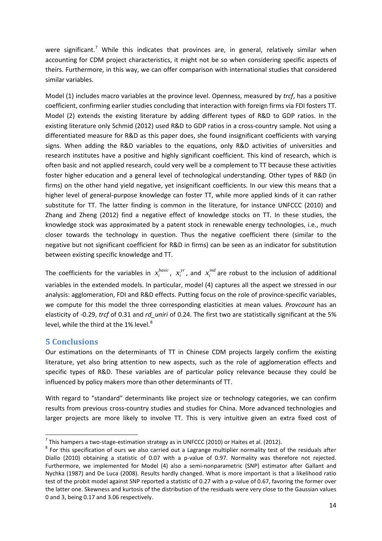were significant.<sup>[7](#page-14-0)</sup> While this indicates that provinces are, in general, relatively similar when accounting for CDM project characteristics, it might not be so when considering specific aspects of theirs. Furthermore, in this way, we can offer comparison with international studies that considered similar variables.

Model (1) includes macro variables at the province level. Openness, measured by *trcf*, has a positive coefficient, confirming earlier studies concluding that interaction with foreign firms via FDI fosters TT. Model (2) extends the existing literature by adding different types of R&D to GDP ratios. In the existing literature only Schmid (2012) used R&D to GDP ratios in a cross-country sample. Not using a differentiated measure for R&D as this paper does, she found insignificant coefficients with varying signs. When adding the R&D variables to the equations, only R&D activities of universities and research institutes have a positive and highly significant coefficient. This kind of research, which is often basic and not applied research, could very well be a complement to TT because these activities foster higher education and a general level of technological understanding. Other types of R&D (in firms) on the other hand yield negative, yet insignificant coefficients. In our view this means that a higher level of general-purpose knowledge can foster TT, while more applied kinds of it can rather substitute for TT. The latter finding is common in the literature, for instance UNFCCC (2010) and Zhang and Zheng (2012) find a negative effect of knowledge stocks on TT. In these studies, the knowledge stock was approximated by a patent stock in renewable energy technologies, i.e., much closer towards the technology in question. Thus the negative coefficient there (similar to the negative but not significant coefficient for R&D in firms) can be seen as an indicator for substitution between existing specific knowledge and TT.

The coefficients for the variables in  $x_i^{basic}$ ,  $x_i^{yr}$ , and  $x_i^{ind}$  are robust to the inclusion of additional variables in the extended models. In particular, model (4) captures all the aspect we stressed in our analysis: agglomeration, FDI and R&D effects. Putting focus on the role of province-specific variables, we compute for this model the three corresponding elasticities at mean values. *Provcount* has an elasticity of -0.29, *trcf* of 0.31 and *rd\_uniri* of 0.24. The first two are statistically significant at the 5% level, while the third at the 1% level.<sup>[8](#page-14-1)</sup>

## **5 Conclusions**

Our estimations on the determinants of TT in Chinese CDM projects largely confirm the existing literature, yet also bring attention to new aspects, such as the role of agglomeration effects and specific types of R&D. These variables are of particular policy relevance because they could be influenced by policy makers more than other determinants of TT.

With regard to "standard" determinants like project size or technology categories, we can confirm results from previous cross-country studies and studies for China. More advanced technologies and larger projects are more likely to involve TT. This is very intuitive given an extra fixed cost of

<span id="page-14-1"></span><span id="page-14-0"></span><sup>&</sup>lt;sup>7</sup> This hampers a two-stage-estimation strategy as in UNFCCC (2010) or Haites et al. (2012).<br><sup>8</sup> For this specification of ours we also carried out a Lagrange multiplier normality test of the residuals after Diallo (2010) obtaining a statistic of 0.07 with a p-value of 0.97. Normality was therefore not rejected. Furthermore, we implemented for Model (4) also a semi-nonparametric (SNP) estimator after Gallant and Nychka (1987) and De Luca (2008). Results hardly changed. What is more important is that a likelihood ratio test of the probit model against SNP reported a statistic of 0.27 with a p-value of 0.67, favoring the former over the latter one. Skewness and kurtosis of the distribution of the residuals were very close to the Gaussian values 0 and 3, being 0.17 and 3.06 respectively.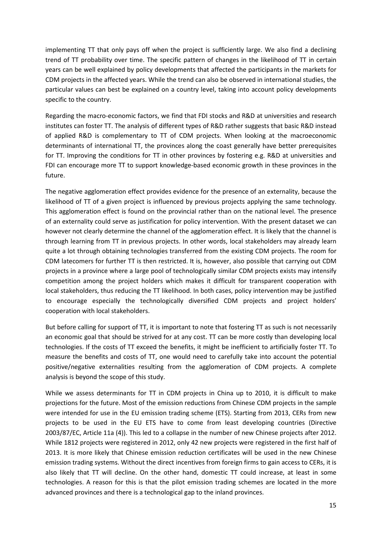implementing TT that only pays off when the project is sufficiently large. We also find a declining trend of TT probability over time. The specific pattern of changes in the likelihood of TT in certain years can be well explained by policy developments that affected the participants in the markets for CDM projects in the affected years. While the trend can also be observed in international studies, the particular values can best be explained on a country level, taking into account policy developments specific to the country.

Regarding the macro-economic factors, we find that FDI stocks and R&D at universities and research institutes can foster TT. The analysis of different types of R&D rather suggests that basic R&D instead of applied R&D is complementary to TT of CDM projects. When looking at the macroeconomic determinants of international TT, the provinces along the coast generally have better prerequisites for TT. Improving the conditions for TT in other provinces by fostering e.g. R&D at universities and FDI can encourage more TT to support knowledge-based economic growth in these provinces in the future.

The negative agglomeration effect provides evidence for the presence of an externality, because the likelihood of TT of a given project is influenced by previous projects applying the same technology. This agglomeration effect is found on the provincial rather than on the national level. The presence of an externality could serve as justification for policy intervention. With the present dataset we can however not clearly determine the channel of the agglomeration effect. It is likely that the channel is through learning from TT in previous projects. In other words, local stakeholders may already learn quite a lot through obtaining technologies transferred from the existing CDM projects. The room for CDM latecomers for further TT is then restricted. It is, however, also possible that carrying out CDM projects in a province where a large pool of technologically similar CDM projects exists may intensify competition among the project holders which makes it difficult for transparent cooperation with local stakeholders, thus reducing the TT likelihood. In both cases, policy intervention may be justified to encourage especially the technologically diversified CDM projects and project holders' cooperation with local stakeholders.

But before calling for support of TT, it is important to note that fostering TT as such is not necessarily an economic goal that should be strived for at any cost. TT can be more costly than developing local technologies. If the costs of TT exceed the benefits, it might be inefficient to artificially foster TT. To measure the benefits and costs of TT, one would need to carefully take into account the potential positive/negative externalities resulting from the agglomeration of CDM projects. A complete analysis is beyond the scope of this study.

While we assess determinants for TT in CDM projects in China up to 2010, it is difficult to make projections for the future. Most of the emission reductions from Chinese CDM projects in the sample were intended for use in the EU emission trading scheme (ETS). Starting from 2013, CERs from new projects to be used in the EU ETS have to come from least developing countries (Directive 2003/87/EC, Article 11a (4)). This led to a collapse in the number of new Chinese projects after 2012. While 1812 projects were registered in 2012, only 42 new projects were registered in the first half of 2013. It is more likely that Chinese emission reduction certificates will be used in the new Chinese emission trading systems. Without the direct incentives from foreign firms to gain access to CERs, it is also likely that TT will decline. On the other hand, domestic TT could increase, at least in some technologies. A reason for this is that the pilot emission trading schemes are located in the more advanced provinces and there is a technological gap to the inland provinces.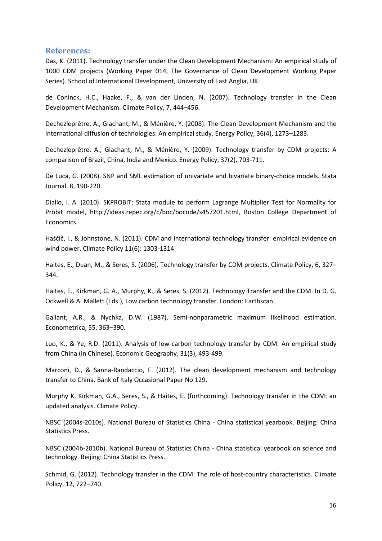#### **References:**

Das, K. (2011). Technology transfer under the Clean Development Mechanism: An empirical study of 1000 CDM projects (Working Paper 014, The Governance of Clean Development Working Paper Series). School of International Development, University of East Anglia, UK.

de Coninck, H.C., Haake, F., & van der Linden, N. (2007). Technology transfer in the Clean Development Mechanism. Climate Policy, 7, 444–456.

Dechezleprêtre, A., Glachant, M., & Ménière, Y. (2008). The Clean Development Mechanism and the international diffusion of technologies: An empirical study. Energy Policy, 36(4), 1273–1283.

Dechezleprêtre, A., Glachant, M., & Ménière, Y. (2009). Technology transfer by CDM projects: A comparison of Brazil, China, India and Mexico. Energy Policy, 37(2), 703-711.

De Luca, G. (2008). SNP and SML estimation of univariate and bivariate binary-choice models. Stata Journal, 8, 190-220.

Diallo, I. A. (2010). SKPROBIT: Stata module to perform Lagrange Multiplier Test for Normality for Probit model, http://ideas.repec.org/c/boc/bocode/s457201.html, Boston College Department of Economics.

Haščič, I., & Johnstone, N. (2011). CDM and international technology transfer: empirical evidence on wind power. Climate Policy 11(6): 1303-1314.

Haites, E., Duan, M., & Seres, S. (2006). Technology transfer by CDM projects. Climate Policy, 6, 327– 344.

Haites, E., Kirkman, G. A., Murphy, K., & Seres, S. (2012). Technology Transfer and the CDM. In D. G. Ockwell & A. Mallett (Eds.), Low carbon technology transfer. London: Earthscan.

Gallant, A.R., & Nychka, D.W. (1987). Semi-nonparametric maximum likelihood estimation. Econometrica, 55, 363–390.

Luo, K., & Ye, R.D. (2011). Analysis of low-carbon technology transfer by CDM: An empirical study from China (in Chinese). Economic Geography, 31(3), 493-499.

Marconi, D., & Sanna-Randaccio, F. (2012). The clean development mechanism and technology transfer to China. Bank of Italy Occasional Paper No 129.

Murphy K, Kirkman, G.A., Seres, S., & Haites, E. (forthcoming). Technology transfer in the CDM: an updated analysis. Climate Policy.

NBSC (2004s-2010s). National Bureau of Statistics China - China statistical yearbook. Beijing: China Statistics Press.

NBSC (2004b-2010b). National Bureau of Statistics China - China statistical yearbook on science and technology. Beijing: China Statistics Press.

Schmid, G. (2012). Technology transfer in the CDM: The role of host-country characteristics. Climate Policy, 12, 722–740.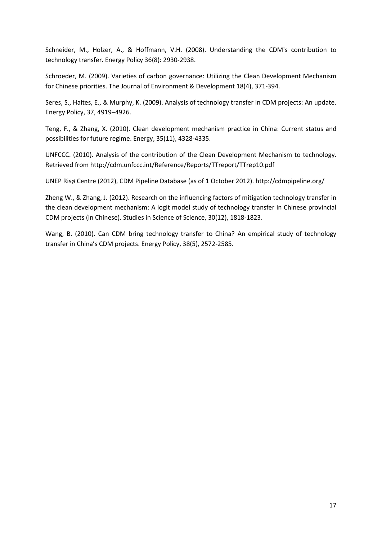Schneider, M., Holzer, A., & Hoffmann, V.H. (2008). Understanding the CDM's contribution to technology transfer. Energy Policy 36(8): 2930-2938.

Schroeder, M. (2009). Varieties of carbon governance: Utilizing the Clean Development Mechanism for Chinese priorities. The Journal of Environment & Development 18(4), 371-394.

Seres, S., Haites, E., & Murphy, K. (2009). Analysis of technology transfer in CDM projects: An update. Energy Policy, 37, 4919–4926.

Teng, F., & Zhang, X. (2010). Clean development mechanism practice in China: Current status and possibilities for future regime. Energy, 35(11), 4328-4335.

UNFCCC. (2010). Analysis of the contribution of the Clean Development Mechanism to technology. Retrieved from http://cdm.unfccc.int/Reference/Reports/TTreport/TTrep10.pdf

UNEP Risø Centre (2012), CDM Pipeline Database (as of 1 October 2012). http://cdmpipeline.org/

Zheng W., & Zhang, J. (2012). Research on the influencing factors of mitigation technology transfer in the clean development mechanism: A logit model study of technology transfer in Chinese provincial CDM projects (in Chinese). Studies in Science of Science, 30(12), 1818-1823.

Wang, B. (2010). Can CDM bring technology transfer to China? An empirical study of technology transfer in China's CDM projects. Energy Policy, 38(5), 2572-2585.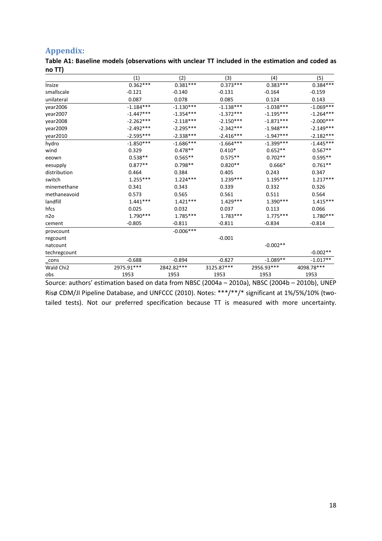# **Appendix:**

**Table A1: Baseline models (observations with unclear TT included in the estimation and coded as no TT)**

|                       | (1)         | (2)         | (3)         | (4)         | (5)         |
|-----------------------|-------------|-------------|-------------|-------------|-------------|
| Insize                | $0.362***$  | $0.381***$  | $0.373***$  | $0.383***$  | $0.384***$  |
| smallscale            | $-0.121$    | $-0.140$    | $-0.131$    | $-0.164$    | $-0.159$    |
| unilateral            | 0.087       | 0.078       | 0.085       | 0.124       | 0.143       |
| year2006              | $-1.184***$ | $-1.130***$ | $-1.138***$ | $-1.038***$ | $-1.069***$ |
| year2007              | $-1.447***$ | $-1.354***$ | $-1.372***$ | $-1.195***$ | $-1.264***$ |
| year2008              | $-2.262***$ | $-2.118***$ | $-2.150***$ | $-1.871***$ | $-2.000***$ |
| year2009              | $-2.492***$ | $-2.295***$ | $-2.342***$ | $-1.948***$ | $-2.149***$ |
| year2010              | $-2.595***$ | $-2.338***$ | $-2.416***$ | $-1.947***$ | $-2.182***$ |
| hydro                 | $-1.850***$ | $-1.686***$ | $-1.664***$ | $-1.399***$ | $-1.445***$ |
| wind                  | 0.329       | $0.478**$   | $0.410*$    | $0.652**$   | $0.567**$   |
| eeown                 | $0.538**$   | $0.565**$   | $0.575**$   | $0.702**$   | $0.595**$   |
| eesupply              | $0.877**$   | $0.798**$   | $0.820**$   | $0.666*$    | $0.761**$   |
| distribution          | 0.464       | 0.384       | 0.405       | 0.243       | 0.347       |
| switch                | $1.255***$  | $1.224***$  | $1.239***$  | $1.195***$  | $1.217***$  |
| minemethane           | 0.341       | 0.343       | 0.339       | 0.332       | 0.326       |
| methaneavoid          | 0.573       | 0.565       | 0.561       | 0.511       | 0.564       |
| landfill              | $1.441***$  | $1.421***$  | $1.429***$  | $1.390***$  | $1.415***$  |
| hfcs                  | 0.025       | 0.032       | 0.037       | 0.113       | 0.066       |
| n2o                   | $1.790***$  | $1.785***$  | $1.783***$  | $1.775***$  | $1.780***$  |
| cement                | $-0.805$    | $-0.811$    | $-0.811$    | $-0.834$    | $-0.814$    |
| provcount             |             | $-0.006***$ |             |             |             |
| regcount              |             |             | $-0.001$    |             |             |
| natcount              |             |             |             | $-0.002**$  |             |
| techregcount          |             |             |             |             | $-0.002**$  |
| $\mathsf{L}$ cons     | $-0.688$    | $-0.894$    | $-0.827$    | $-1.089**$  | $-1.017**$  |
| Wald Chi <sub>2</sub> | 2975.91***  | 2842.82***  | 3125.87***  | 2956.93***  | 4098.78***  |
| obs                   | 1953        | 1953        | 1953        | 1953        | 1953        |
|                       |             |             |             |             |             |

Source: authors' estimation based on data from NBSC (2004a – 2010a), NBSC (2004b – 2010b), UNEP Risø CDM/JI Pipeline Database, and UNFCCC (2010). Notes: \*\*\*/\*\*/\* significant at 1%/5%/10% (twotailed tests). Not our preferred specification because TT is measured with more uncertainty.